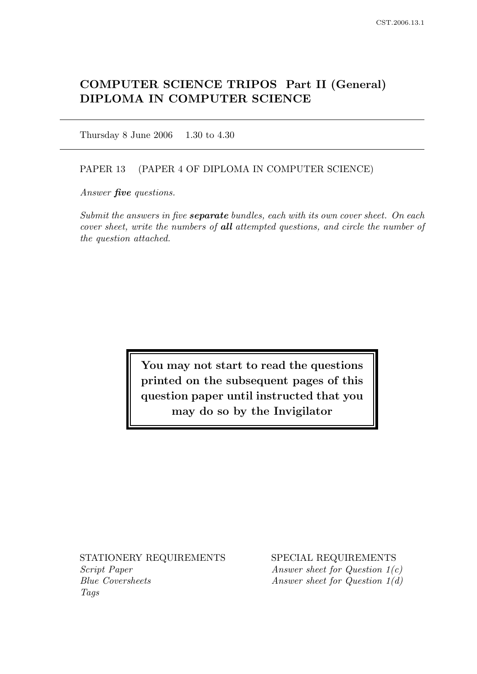# COMPUTER SCIENCE TRIPOS Part II (General) DIPLOMA IN COMPUTER SCIENCE

Thursday 8 June 2006 1.30 to 4.30

#### PAPER 13 (PAPER 4 OF DIPLOMA IN COMPUTER SCIENCE)

Answer *five* questions.

Submit the answers in five **separate** bundles, each with its own cover sheet. On each cover sheet, write the numbers of all attempted questions, and circle the number of the question attached.

> You may not start to read the questions printed on the subsequent pages of this question paper until instructed that you may do so by the Invigilator

STATIONERY REQUIREMENTS SPECIAL REQUIREMENTS Script Paper Answer sheet for Question 1(c) Blue Coversheets Answer sheet for Question 1(d) Tags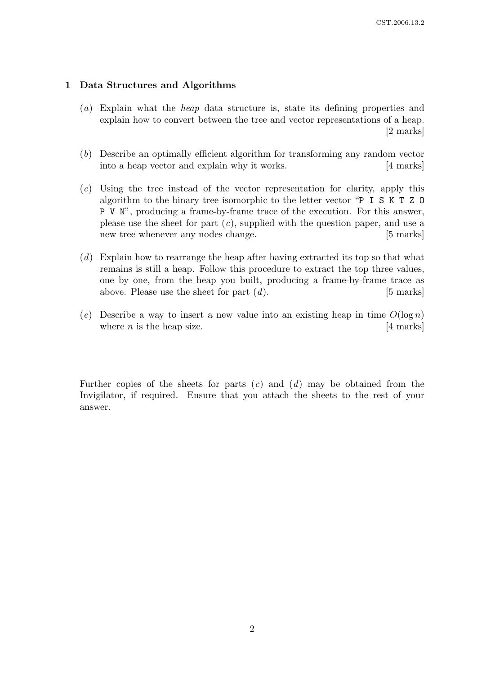#### 1 Data Structures and Algorithms

- (a) Explain what the heap data structure is, state its defining properties and explain how to convert between the tree and vector representations of a heap. [2 marks]
- (b) Describe an optimally efficient algorithm for transforming any random vector into a heap vector and explain why it works. [4 marks]
- (c) Using the tree instead of the vector representation for clarity, apply this algorithm to the binary tree isomorphic to the letter vector "P I S K T Z O P V N", producing a frame-by-frame trace of the execution. For this answer, please use the sheet for part  $(c)$ , supplied with the question paper, and use a new tree whenever any nodes change. [5 marks]
- (d) Explain how to rearrange the heap after having extracted its top so that what remains is still a heap. Follow this procedure to extract the top three values, one by one, from the heap you built, producing a frame-by-frame trace as above. Please use the sheet for part  $(d)$ . [5 marks]
- (e) Describe a way to insert a new value into an existing heap in time  $O(\log n)$ where *n* is the heap size.  $[4 \text{ marks}]$

Further copies of the sheets for parts  $(c)$  and  $(d)$  may be obtained from the Invigilator, if required. Ensure that you attach the sheets to the rest of your answer.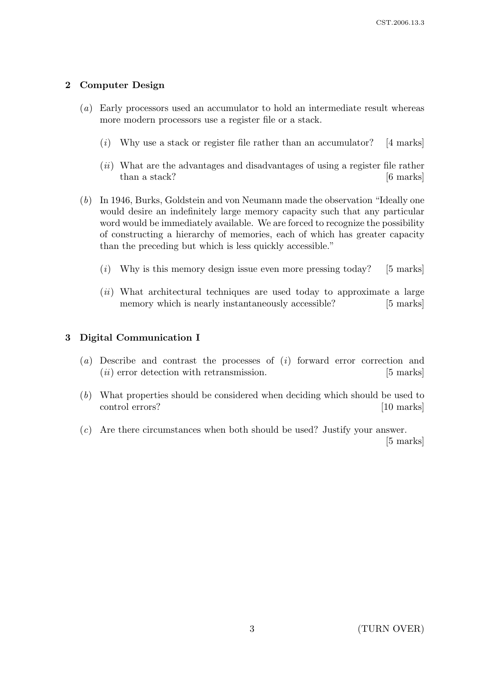## 2 Computer Design

- (a) Early processors used an accumulator to hold an intermediate result whereas more modern processors use a register file or a stack.
	- $(i)$  Why use a stack or register file rather than an accumulator? [4 marks]
	- (ii) What are the advantages and disadvantages of using a register file rather than a stack? [6 marks]
- (b) In 1946, Burks, Goldstein and von Neumann made the observation "Ideally one would desire an indefinitely large memory capacity such that any particular word would be immediately available. We are forced to recognize the possibility of constructing a hierarchy of memories, each of which has greater capacity than the preceding but which is less quickly accessible."
	- $(i)$  Why is this memory design issue even more pressing today? [5 marks]
	- (ii) What architectural techniques are used today to approximate a large memory which is nearly instantaneously accessible? [5 marks]

#### 3 Digital Communication I

- (a) Describe and contrast the processes of  $(i)$  forward error correction and (*ii*) error detection with retransmission. [5 marks]
- (b) What properties should be considered when deciding which should be used to control errors? [10 marks]
- (c) Are there circumstances when both should be used? Justify your answer.

[5 marks]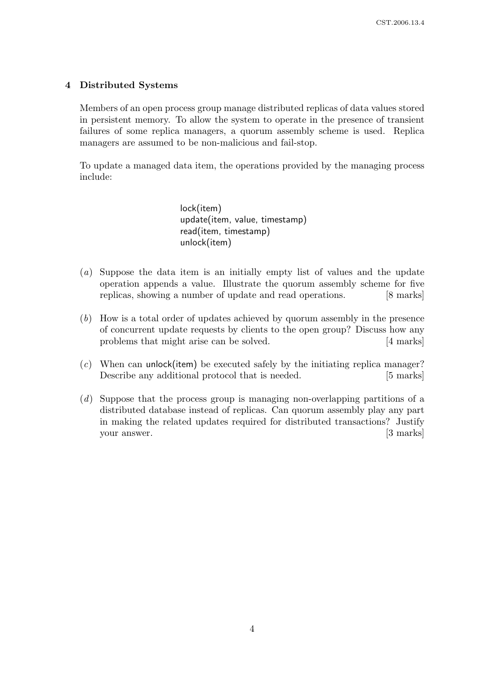#### 4 Distributed Systems

Members of an open process group manage distributed replicas of data values stored in persistent memory. To allow the system to operate in the presence of transient failures of some replica managers, a quorum assembly scheme is used. Replica managers are assumed to be non-malicious and fail-stop.

To update a managed data item, the operations provided by the managing process include:

> lock(item) update(item, value, timestamp) read(item, timestamp) unlock(item)

- (a) Suppose the data item is an initially empty list of values and the update operation appends a value. Illustrate the quorum assembly scheme for five replicas, showing a number of update and read operations. [8 marks]
- (b) How is a total order of updates achieved by quorum assembly in the presence of concurrent update requests by clients to the open group? Discuss how any problems that might arise can be solved. [4 marks]
- $(c)$  When can unlock(item) be executed safely by the initiating replica manager? Describe any additional protocol that is needed. [5 marks]
- (d) Suppose that the process group is managing non-overlapping partitions of a distributed database instead of replicas. Can quorum assembly play any part in making the related updates required for distributed transactions? Justify your answer. [3 marks]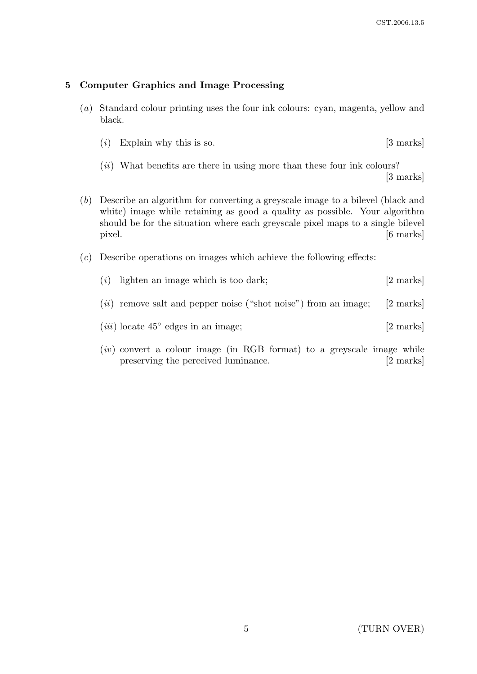### 5 Computer Graphics and Image Processing

- (a) Standard colour printing uses the four ink colours: cyan, magenta, yellow and black.
	- $(i)$  Explain why this is so.  $[3 \text{ marks}]$
	- $(ii)$  What benefits are there in using more than these four ink colours? [3 marks]
- (b) Describe an algorithm for converting a greyscale image to a bilevel (black and white) image while retaining as good a quality as possible. Your algorithm should be for the situation where each greyscale pixel maps to a single bilevel pixel. [6 marks]
- $(c)$  Describe operations on images which achieve the following effects:
	- (*i*) lighten an image which is too dark;  $[2 \text{ marks}]$  $(ii)$  remove salt and pepper noise ("shot noise") from an image; [2 marks]
	- $(iii)$  locate  $45°$  edges in an image; [2 marks]
	- $(iv)$  convert a colour image (in RGB format) to a greyscale image while preserving the perceived luminance. [2 marks]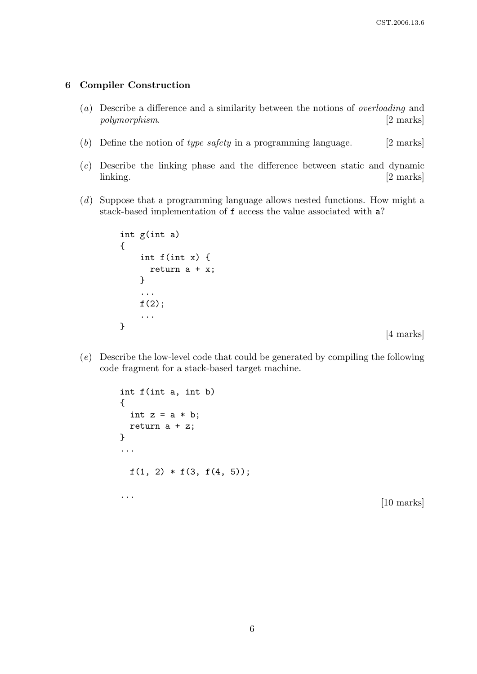#### 6 Compiler Construction

- (a) Describe a difference and a similarity between the notions of overloading and polymorphism. [2 marks]
- (b) Define the notion of type safety in a programming language.  $[2 \text{ marks}]$
- (c) Describe the linking phase and the difference between static and dynamic linking. [2 marks]
- (d) Suppose that a programming language allows nested functions. How might a stack-based implementation of f access the value associated with a?

```
int g(int a)
{
    int f(int x) {
      return a + x;
    }
    ...
    f(2);...
}
```
[4 marks]

(e) Describe the low-level code that could be generated by compiling the following code fragment for a stack-based target machine.

```
int f(int a, int b)
{
  int z = a * b;
  return a + z;
}
...
  f(1, 2) * f(3, f(4, 5));...
                                                         [10 marks]
```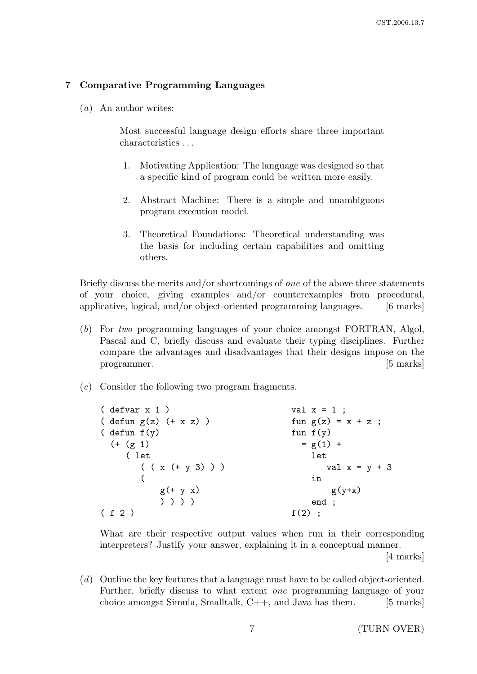#### 7 Comparative Programming Languages

(a) An author writes:

Most successful language design efforts share three important characteristics . . .

- 1. Motivating Application: The language was designed so that a specific kind of program could be written more easily.
- 2. Abstract Machine: There is a simple and unambiguous program execution model.
- 3. Theoretical Foundations: Theoretical understanding was the basis for including certain capabilities and omitting others.

Briefly discuss the merits and/or shortcomings of one of the above three statements of your choice, giving examples and/or counterexamples from procedural, applicative, logical, and/or object-oriented programming languages. [6 marks]

- (b) For two programming languages of your choice amongst FORTRAN, Algol, Pascal and C, briefly discuss and evaluate their typing disciplines. Further compare the advantages and disadvantages that their designs impose on the programmer. [5] marks]
- (c) Consider the following two program fragments.

| $(\text{defvar } x 1)$         | val $x = 1$ ;        |
|--------------------------------|----------------------|
| $(\text{defun } g(z) (+ x z))$ | fun $g(z) = x + z$ ; |
| ( defun $f(y)$                 | fun $f(y)$           |
| $(+ (g 1)$                     | $= g(1) +$           |
| ( let                          | let                  |
| $((x (+ y 3)) )$               | val $x = y + 3$      |
|                                | in                   |
| $g(+ y x)$                     | $g(y+x)$             |
| ) ) ) )                        | end ;                |
| (f 2)                          | $f(2)$ ;             |

What are their respective output values when run in their corresponding interpreters? Justify your answer, explaining it in a conceptual manner.

[4 marks]

(d) Outline the key features that a language must have to be called object-oriented. Further, briefly discuss to what extent one programming language of your choice amongst Simula, Smalltalk,  $C++$ , and Java has them. [5 marks]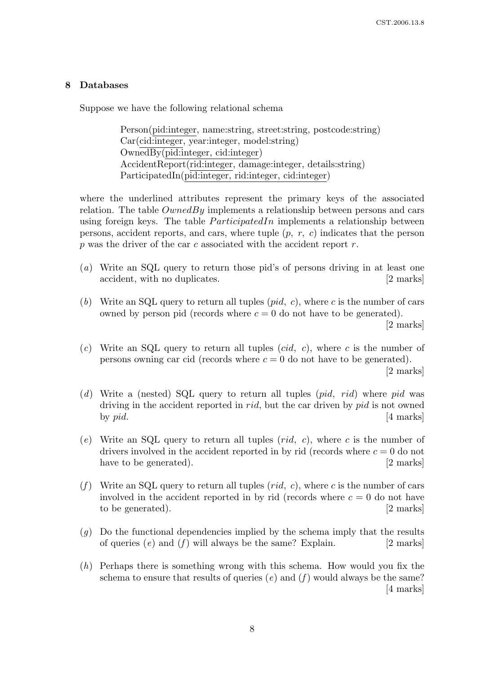#### 8 Databases

Suppose we have the following relational schema

Person(pid:integer, name:string, street:string, postcode:string) Car(cid:integer, year:integer, model:string) OwnedBy(pid:integer, cid:integer) AccidentReport(rid:integer, damage:integer, details:string) ParticipatedIn(pid:integer, rid:integer, cid:integer)

where the underlined attributes represent the primary keys of the associated relation. The table  $OwnedBy$  implements a relationship between persons and cars using foreign keys. The table  $ParticipatedIn$  implements a relationship between persons, accident reports, and cars, where tuple  $(p, r, c)$  indicates that the person p was the driver of the car c associated with the accident report  $r$ .

- (a) Write an SQL query to return those pid's of persons driving in at least one accident, with no duplicates. [2 marks]
- (b) Write an SQL query to return all tuples  $(pid, c)$ , where c is the number of cars owned by person pid (records where  $c = 0$  do not have to be generated). [2 marks]
- (c) Write an SQL query to return all tuples (cid, c), where c is the number of persons owning car cid (records where  $c = 0$  do not have to be generated).

[2 marks]

- (d) Write a (nested) SQL query to return all tuples  $(pid, rid)$  where pid was driving in the accident reported in *rid*, but the car driven by *pid* is not owned by  $pid.$  [4 marks]
- (e) Write an SQL query to return all tuples  $(\text{rid}, c)$ , where c is the number of drivers involved in the accident reported in by rid (records where  $c = 0$  do not have to be generated). [2 marks]
- (f) Write an SQL query to return all tuples  $(\text{rid}, c)$ , where c is the number of cars involved in the accident reported in by rid (records where  $c = 0$  do not have to be generated). [2 marks]
- $(g)$  Do the functional dependencies implied by the schema imply that the results of queries  $(e)$  and  $(f)$  will always be the same? Explain. [2 marks]
- $(h)$  Perhaps there is something wrong with this schema. How would you fix the schema to ensure that results of queries (e) and (f) would always be the same? [4 marks]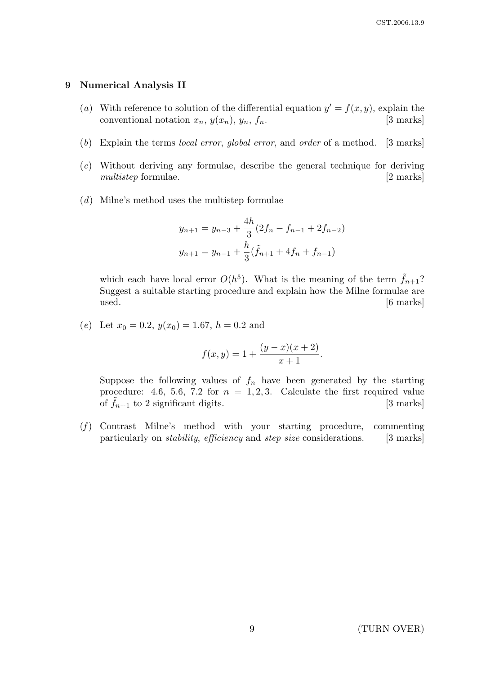#### 9 Numerical Analysis II

- (a) With reference to solution of the differential equation  $y' = f(x, y)$ , explain the conventional notation  $x_n$ ,  $y(x_n)$ ,  $y_n$ ,  $f_n$ . [3 marks]
- (b) Explain the terms local error, global error, and order of a method. [3 marks]
- (c) Without deriving any formulae, describe the general technique for deriving multistep formulae. [2 marks]
- (d) Milne's method uses the multistep formulae

$$
y_{n+1} = y_{n-3} + \frac{4h}{3}(2f_n - f_{n-1} + 2f_{n-2})
$$
  

$$
y_{n+1} = y_{n-1} + \frac{h}{3}(\tilde{f}_{n+1} + 4f_n + f_{n-1})
$$

which each have local error  $O(h^5)$ . What is the meaning of the term  $\tilde{f}_{n+1}$ ? Suggest a suitable starting procedure and explain how the Milne formulae are used. [6 marks]

(e) Let  $x_0 = 0.2$ ,  $y(x_0) = 1.67$ ,  $h = 0.2$  and

$$
f(x,y) = 1 + \frac{(y-x)(x+2)}{x+1}.
$$

Suppose the following values of  $f_n$  have been generated by the starting procedure: 4.6, 5.6, 7.2 for  $n = 1, 2, 3$ . Calculate the first required value of  $\hat{f}_{n+1}$  to 2 significant digits. [3 marks]

 $(f)$  Contrast Milne's method with your starting procedure, commenting particularly on *stability, efficiency* and *step size* considerations. [3 marks]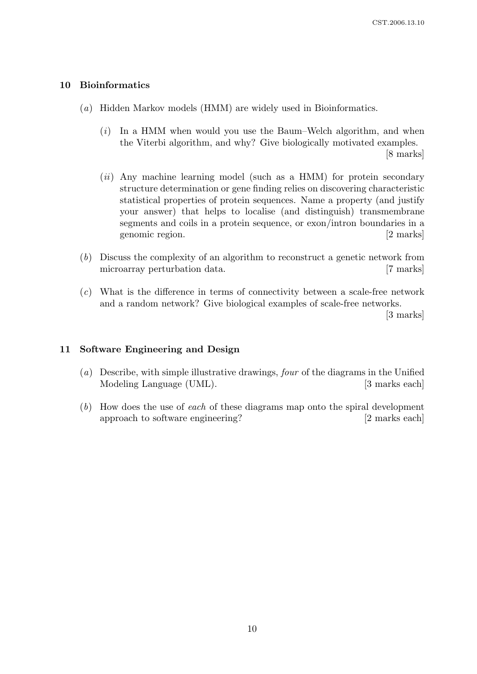#### 10 Bioinformatics

- (a) Hidden Markov models (HMM) are widely used in Bioinformatics.
	- (i) In a HMM when would you use the Baum–Welch algorithm, and when the Viterbi algorithm, and why? Give biologically motivated examples. [8 marks]
	- $(ii)$  Any machine learning model (such as a HMM) for protein secondary structure determination or gene finding relies on discovering characteristic statistical properties of protein sequences. Name a property (and justify your answer) that helps to localise (and distinguish) transmembrane segments and coils in a protein sequence, or exon/intron boundaries in a genomic region. [2 marks]
- (b) Discuss the complexity of an algorithm to reconstruct a genetic network from microarray perturbation data. [7 marks]
- (c) What is the difference in terms of connectivity between a scale-free network and a random network? Give biological examples of scale-free networks.

[3 marks]

#### 11 Software Engineering and Design

- (a) Describe, with simple illustrative drawings, four of the diagrams in the Unified Modeling Language (UML). [3 marks each]
- (b) How does the use of each of these diagrams map onto the spiral development approach to software engineering? [2 marks each]